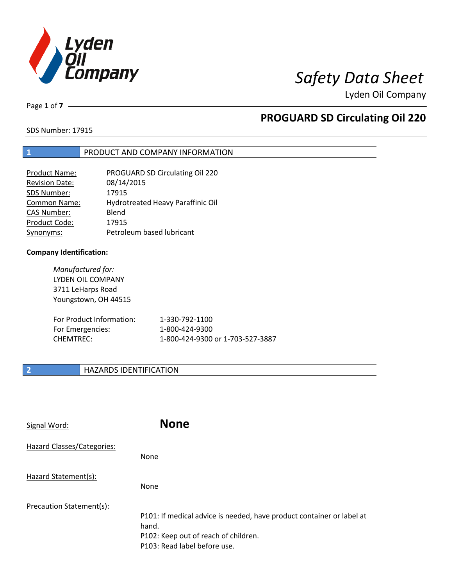

Page **1** of **7**

# **PROGUARD SD Circulating Oil 220**

SDS Number: 17915

## **1** PRODUCT AND COMPANY INFORMATION

| PROGUARD SD Circulating Oil 220   |
|-----------------------------------|
| 08/14/2015                        |
| 17915                             |
| Hydrotreated Heavy Paraffinic Oil |
| Blend                             |
| 17915                             |
| Petroleum based lubricant         |
|                                   |

### **Company Identification:**

*Manufactured for:* LYDEN OIL COMPANY 3711 LeHarps Road Youngstown, OH 44515

| For Product Information: | 1-330-792-1100                   |
|--------------------------|----------------------------------|
| For Emergencies:         | 1-800-424-9300                   |
| CHEMTREC:                | 1-800-424-9300 or 1-703-527-3887 |

## **2 HAZARDS IDENTIFICATION**

| Signal Word:               | <b>None</b>                                                                                                                                            |
|----------------------------|--------------------------------------------------------------------------------------------------------------------------------------------------------|
| Hazard Classes/Categories: | <b>None</b>                                                                                                                                            |
| Hazard Statement(s):       | <b>None</b>                                                                                                                                            |
| Precaution Statement(s):   | P101: If medical advice is needed, have product container or label at<br>hand.<br>P102: Keep out of reach of children.<br>P103: Read label before use. |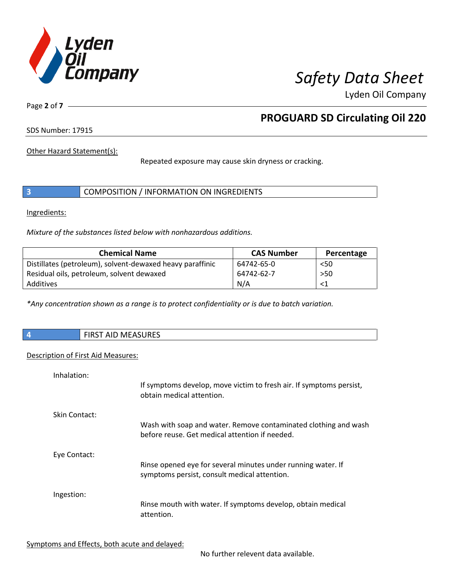

Page **2** of **7**

# **PROGUARD SD Circulating Oil 220**

SDS Number: 17915

Other Hazard Statement(s):

Repeated exposure may cause skin dryness or cracking.

|  | COMPOSITION / INFORMATION ON INGREDIENTS |  |
|--|------------------------------------------|--|
|--|------------------------------------------|--|

Ingredients:

*Mixture of the substances listed below with nonhazardous additions.*

| <b>Chemical Name</b>                                      | <b>CAS Number</b> | Percentage |
|-----------------------------------------------------------|-------------------|------------|
| Distillates (petroleum), solvent-dewaxed heavy paraffinic | 64742-65-0        | < 50       |
| Residual oils, petroleum, solvent dewaxed                 | 64742-62-7        | $>50$      |
| Additives                                                 | N/A               |            |

*\*Any concentration shown as a range is to protect confidentiality or is due to batch variation.*

|  |  | <b>FIRST AID MEASURES</b> |
|--|--|---------------------------|
|--|--|---------------------------|

### Description of First Aid Measures:

| Inhalation:   | If symptoms develop, move victim to fresh air. If symptoms persist,<br>obtain medical attention.                  |
|---------------|-------------------------------------------------------------------------------------------------------------------|
| Skin Contact: | Wash with soap and water. Remove contaminated clothing and wash<br>before reuse. Get medical attention if needed. |
| Eye Contact:  | Rinse opened eye for several minutes under running water. If<br>symptoms persist, consult medical attention.      |
| Ingestion:    | Rinse mouth with water. If symptoms develop, obtain medical<br>attention.                                         |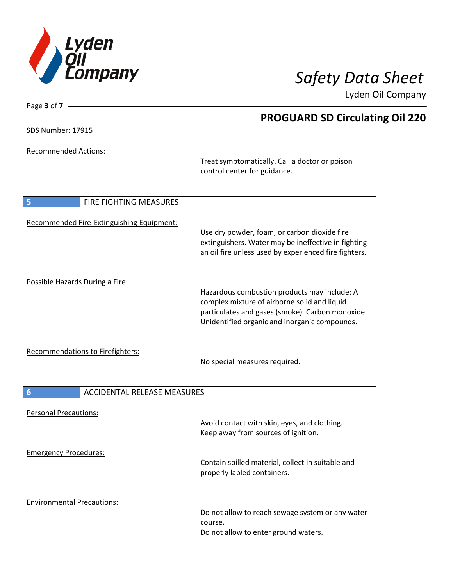

SDS Number: 17915

Page **3** of **7**

Recommended Actions:

Treat symptomatically. Call a doctor or poison control center for guidance.

| 5                                 | FIRE FIGHTING MEASURES                    |                                                                                                                                                                                                   |
|-----------------------------------|-------------------------------------------|---------------------------------------------------------------------------------------------------------------------------------------------------------------------------------------------------|
|                                   | Recommended Fire-Extinguishing Equipment: | Use dry powder, foam, or carbon dioxide fire<br>extinguishers. Water may be ineffective in fighting<br>an oil fire unless used by experienced fire fighters.                                      |
| Possible Hazards During a Fire:   |                                           | Hazardous combustion products may include: A<br>complex mixture of airborne solid and liquid<br>particulates and gases (smoke). Carbon monoxide.<br>Unidentified organic and inorganic compounds. |
|                                   | <b>Recommendations to Firefighters:</b>   | No special measures required.                                                                                                                                                                     |
| $6\phantom{1}6$                   | <b>ACCIDENTAL RELEASE MEASURES</b>        |                                                                                                                                                                                                   |
| <b>Personal Precautions:</b>      |                                           | Avoid contact with skin, eyes, and clothing.<br>Keep away from sources of ignition.                                                                                                               |
| <b>Emergency Procedures:</b>      |                                           | Contain spilled material, collect in suitable and<br>properly labled containers.                                                                                                                  |
| <b>Environmental Precautions:</b> |                                           | Do not allow to reach sewage system or any water<br>course.<br>Do not allow to enter ground waters.                                                                                               |

# **PROGUARD SD Circulating Oil 220**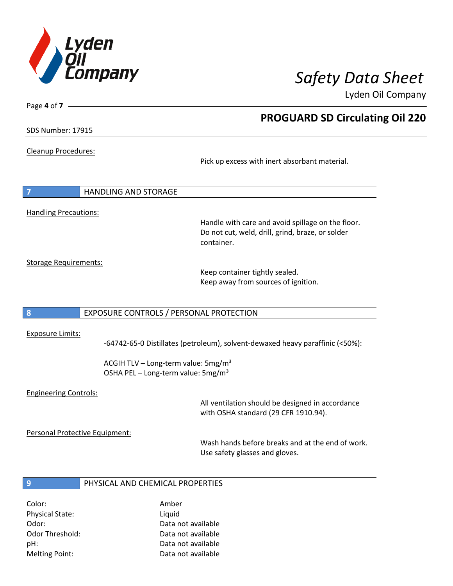

**PROGUARD SD Circulating Oil 220**

Lyden Oil Company

SDS Number: 17915

Page **4** of **7**

### Cleanup Procedures:

Pick up excess with inert absorbant material.

| $\overline{7}$               | <b>HANDLING AND STORAGE</b> |  |  |
|------------------------------|-----------------------------|--|--|
|                              |                             |  |  |
| <b>Handling Precautions:</b> |                             |  |  |

Handle with care and avoid spillage on the floor. Do not cut, weld, drill, grind, braze, or solder container.

Storage Requirements:

Keep container tightly sealed. Keep away from sources of ignition.

### **8** EXPOSURE CONTROLS / PERSONAL PROTECTION

### Exposure Limits:

-64742-65-0 Distillates (petroleum), solvent-dewaxed heavy paraffinic (<50%):

ACGIH TLV – Long-term value:  $5mg/m<sup>3</sup>$ OSHA PEL - Long-term value: 5mg/m<sup>3</sup>

### Engineering Controls:

All ventilation should be designed in accordance with OSHA standard (29 CFR 1910.94).

Personal Protective Equipment:

Wash hands before breaks and at the end of work. Use safety glasses and gloves.

### **9** PHYSICAL AND CHEMICAL PROPERTIES

Color: Amber Physical State: Liquid

Odor: Data not available Odor Threshold: Data not available pH: Data not available Melting Point: Data not available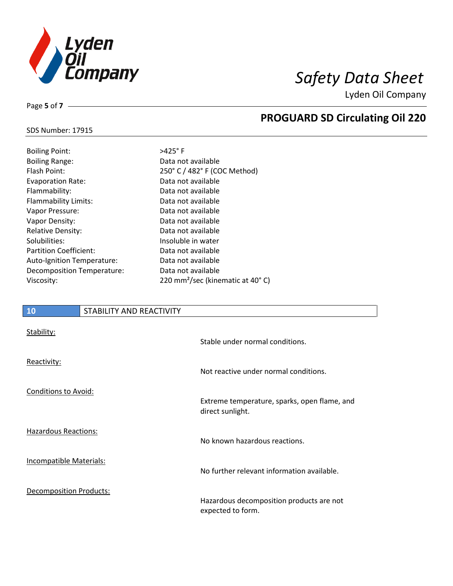

**PROGUARD SD Circulating Oil 220**

Lyden Oil Company

## SDS Number: 17915

Page **5** of **7**

| <b>Boiling Point:</b>         |
|-------------------------------|
| <b>Boiling Range:</b>         |
| Flash Point:                  |
| <b>Evaporation Rate:</b>      |
| Flammability:                 |
| Flammability Limits:          |
| Vapor Pressure:               |
| Vapor Density:                |
| <b>Relative Density:</b>      |
| Solubilities:                 |
| <b>Partition Coefficient:</b> |
| Auto-Ignition Temperature:    |
| Decomposition Temperature:    |
| Viscosity:                    |

# $>425^\circ$  F Data not available 250° C / 482° F (COC Method) Data not available Data not available Data not available Data not available Data not available Data not available Insoluble in water Data not available Data not available Data not available 220 mm<sup>2</sup>/sec (kinematic at 40° C)

# **10** STABILITY AND REACTIVITY Stability:

|                                | Stable under normal conditions.                                  |
|--------------------------------|------------------------------------------------------------------|
| Reactivity:                    | Not reactive under normal conditions.                            |
| <b>Conditions to Avoid:</b>    |                                                                  |
|                                | Extreme temperature, sparks, open flame, and<br>direct sunlight. |
| <b>Hazardous Reactions:</b>    | No known hazardous reactions.                                    |
| Incompatible Materials:        | No further relevant information available.                       |
| <b>Decomposition Products:</b> | Hazardous decomposition products are not<br>expected to form.    |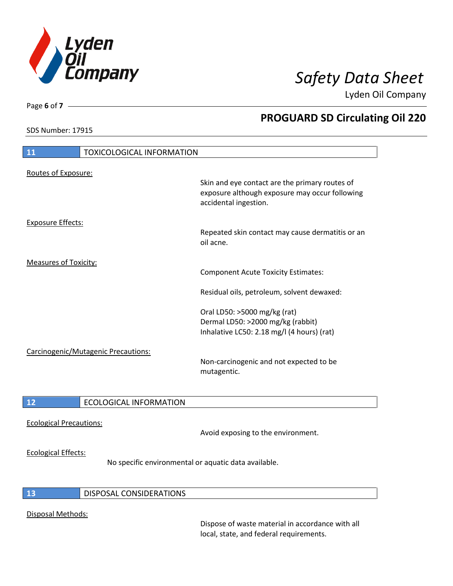

SDS Number: 17915

Page **6** of **7**

# **PROGUARD SD Circulating Oil 220**

| 11                           | <b>TOXICOLOGICAL INFORMATION</b>    |                                                                                                                                                                           |
|------------------------------|-------------------------------------|---------------------------------------------------------------------------------------------------------------------------------------------------------------------------|
| Routes of Exposure:          |                                     | Skin and eye contact are the primary routes of<br>exposure although exposure may occur following<br>accidental ingestion.                                                 |
| <b>Exposure Effects:</b>     |                                     | Repeated skin contact may cause dermatitis or an<br>oil acne.                                                                                                             |
| <b>Measures of Toxicity:</b> |                                     | <b>Component Acute Toxicity Estimates:</b>                                                                                                                                |
|                              |                                     | Residual oils, petroleum, solvent dewaxed:                                                                                                                                |
|                              | Carcinogenic/Mutagenic Precautions: | Oral LD50: >5000 mg/kg (rat)<br>Dermal LD50: >2000 mg/kg (rabbit)<br>Inhalative LC50: 2.18 mg/l (4 hours) (rat)<br>Non-carcinogenic and not expected to be<br>mutagentic. |
| 12                           | <b>ECOLOGICAL INFORMATION</b>       |                                                                                                                                                                           |
|                              |                                     |                                                                                                                                                                           |

Ecological Precautions:

Avoid exposing to the environment.

### Ecological Effects:

No specific environmental or aquatic data available.

## **13** DISPOSAL CONSIDERATIONS

## Disposal Methods:

Dispose of waste material in accordance with all local, state, and federal requirements.